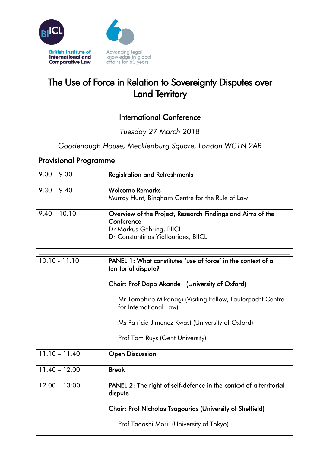

## The Use of Force in Relation to Sovereignty Disputes over Land Territory

## International Conference

*Tuesday 27 March 2018*

*Goodenough House, Mecklenburg Square, London WC1N 2AB*

## Provisional Programme

| $9.00 - 9.30$   | <b>Registration and Refreshments</b>                                                                                                                                                                                                                                                                                 |
|-----------------|----------------------------------------------------------------------------------------------------------------------------------------------------------------------------------------------------------------------------------------------------------------------------------------------------------------------|
| $9.30 - 9.40$   | <b>Welcome Remarks</b><br>Murray Hunt, Bingham Centre for the Rule of Law                                                                                                                                                                                                                                            |
| $9.40 - 10.10$  | Overview of the Project, Research Findings and Aims of the<br>Conference<br>Dr Markus Gehring, BIICL<br>Dr Constantinos Yiallourides, BIICL                                                                                                                                                                          |
| $10.10 - 11.10$ | PANEL 1: What constitutes 'use of force' in the context of a<br>territorial dispute?<br>Chair: Prof Dapo Akande (University of Oxford)<br>Mr Tomohiro Mikanagi (Visiting Fellow, Lauterpacht Centre<br>for International Law)<br>Ms Patricia Jimenez Kwast (University of Oxford)<br>Prof Tom Ruys (Gent University) |
| $11.10 - 11.40$ | <b>Open Discussion</b>                                                                                                                                                                                                                                                                                               |
| $11.40 - 12.00$ | <b>Break</b>                                                                                                                                                                                                                                                                                                         |
| $12.00 - 13:00$ | PANEL 2: The right of self-defence in the context of a territorial<br>dispute<br><b>Chair: Prof Nicholas Tsagourias (University of Sheffield)</b><br>Prof Tadashi Mori (University of Tokyo)                                                                                                                         |